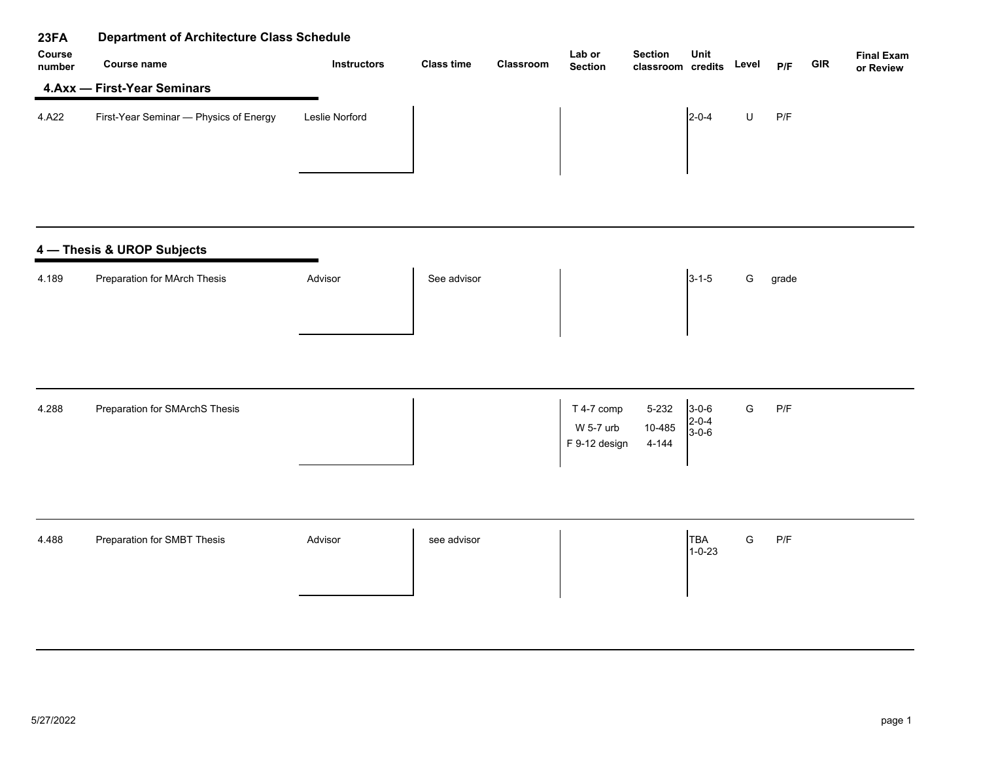| 23FA             | <b>Department of Architecture Class Schedule</b> |                    |                   |           |                                          |                                     |                           |               |       |            |                                |
|------------------|--------------------------------------------------|--------------------|-------------------|-----------|------------------------------------------|-------------------------------------|---------------------------|---------------|-------|------------|--------------------------------|
| Course<br>number | Course name                                      | <b>Instructors</b> | <b>Class time</b> | Classroom | Lab or<br><b>Section</b>                 | <b>Section</b><br>classroom credits | Unit                      | Level         | P/F   | <b>GIR</b> | <b>Final Exam</b><br>or Review |
|                  | 4.Axx - First-Year Seminars                      |                    |                   |           |                                          |                                     |                           |               |       |            |                                |
| 4.A22            | First-Year Seminar - Physics of Energy           | Leslie Norford     |                   |           |                                          |                                     | $2 - 0 - 4$               | $\sf U$       | P/F   |            |                                |
|                  | 4 - Thesis & UROP Subjects                       |                    |                   |           |                                          |                                     |                           |               |       |            |                                |
| 4.189            | Preparation for MArch Thesis                     | Advisor            | See advisor       |           |                                          |                                     | $3 - 1 - 5$               | G             | grade |            |                                |
| 4.288            | Preparation for SMArchS Thesis                   |                    |                   |           | T 4-7 comp<br>W 5-7 urb<br>F 9-12 design | 5-232<br>10-485<br>$4 - 144$        | $3-0-6$<br>2-0-4<br>3-0-6 | ${\mathsf G}$ | P/F   |            |                                |
| 4.488            | Preparation for SMBT Thesis                      | Advisor            | see advisor       |           |                                          |                                     | TBA<br>$1 - 0 - 23$       | ${\mathsf G}$ | P/F   |            |                                |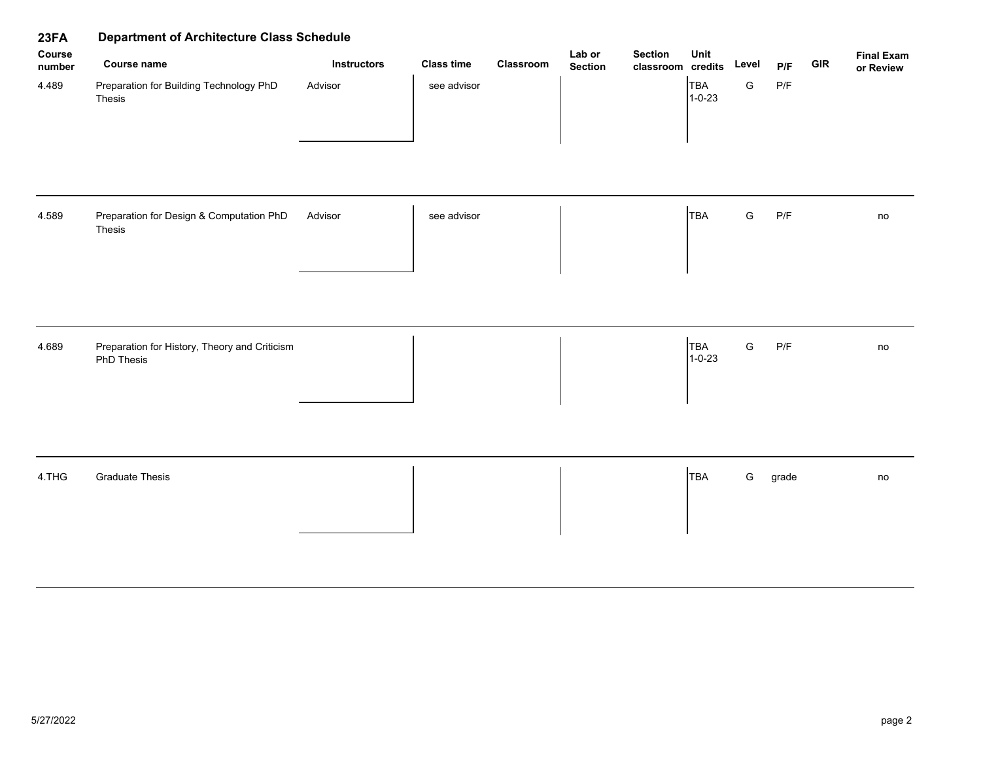| 23FA             | <b>Department of Architecture Class Schedule</b>            |                    | Lab or<br><b>Section</b> |           |                |                   |                            |               |                         |            |                                |
|------------------|-------------------------------------------------------------|--------------------|--------------------------|-----------|----------------|-------------------|----------------------------|---------------|-------------------------|------------|--------------------------------|
| Course<br>number | <b>Course name</b>                                          | <b>Instructors</b> | <b>Class time</b>        | Classroom | <b>Section</b> | classroom credits | Unit                       | Level         | P/F                     | <b>GIR</b> | <b>Final Exam</b><br>or Review |
| 4.489            | Preparation for Building Technology PhD<br>Thesis           | Advisor            | see advisor              |           |                |                   | <b>TBA</b><br>$1 - 0 - 23$ | ${\mathsf G}$ | $\mathsf{P}/\mathsf{F}$ |            |                                |
| 4.589            | Preparation for Design & Computation PhD<br>Thesis          | Advisor            | see advisor              |           |                |                   | <b>TBA</b>                 | ${\mathsf G}$ | $\mathsf{P}/\mathsf{F}$ |            | no                             |
| 4.689            | Preparation for History, Theory and Criticism<br>PhD Thesis |                    |                          |           |                |                   | TBA<br>$1 - 0 - 23$        | ${\mathsf G}$ | $\mathsf{P}/\mathsf{F}$ |            | no                             |
| 4.THG            | <b>Graduate Thesis</b>                                      |                    |                          |           |                |                   | <b>TBA</b>                 | G             | grade                   |            | no                             |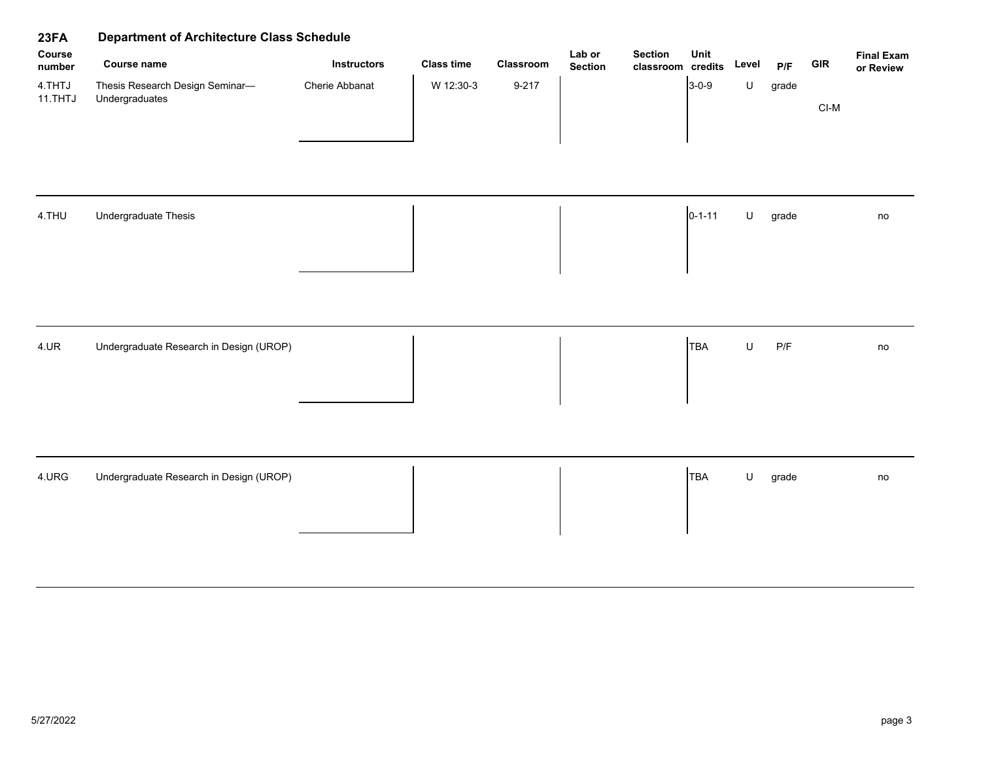| 23FA              | <b>Department of Architecture Class Schedule</b>  |                    |                   |           |                          |                                     |              |         |                         |            |                                |
|-------------------|---------------------------------------------------|--------------------|-------------------|-----------|--------------------------|-------------------------------------|--------------|---------|-------------------------|------------|--------------------------------|
| Course<br>number  | Course name                                       | <b>Instructors</b> | <b>Class time</b> | Classroom | Lab or<br><b>Section</b> | <b>Section</b><br>classroom credits | Unit         | Level   | P/F                     | <b>GIR</b> | <b>Final Exam</b><br>or Review |
| 4.THTJ<br>11.THTJ | Thesis Research Design Seminar-<br>Undergraduates | Cherie Abbanat     | W 12:30-3         | $9 - 217$ |                          |                                     | $3-0-9$      | $\sf U$ | grade                   | $CI-M$     |                                |
| 4.THU             | Undergraduate Thesis                              |                    |                   |           |                          |                                     | $0 - 1 - 11$ | $\sf U$ | grade                   |            | no                             |
| 4.UR              | Undergraduate Research in Design (UROP)           |                    |                   |           |                          |                                     | <b>TBA</b>   | $\sf U$ | $\mathsf{P}/\mathsf{F}$ |            | no                             |
| 4.URG             | Undergraduate Research in Design (UROP)           |                    |                   |           |                          |                                     | <b>TBA</b>   | $\sf U$ | grade                   |            | no                             |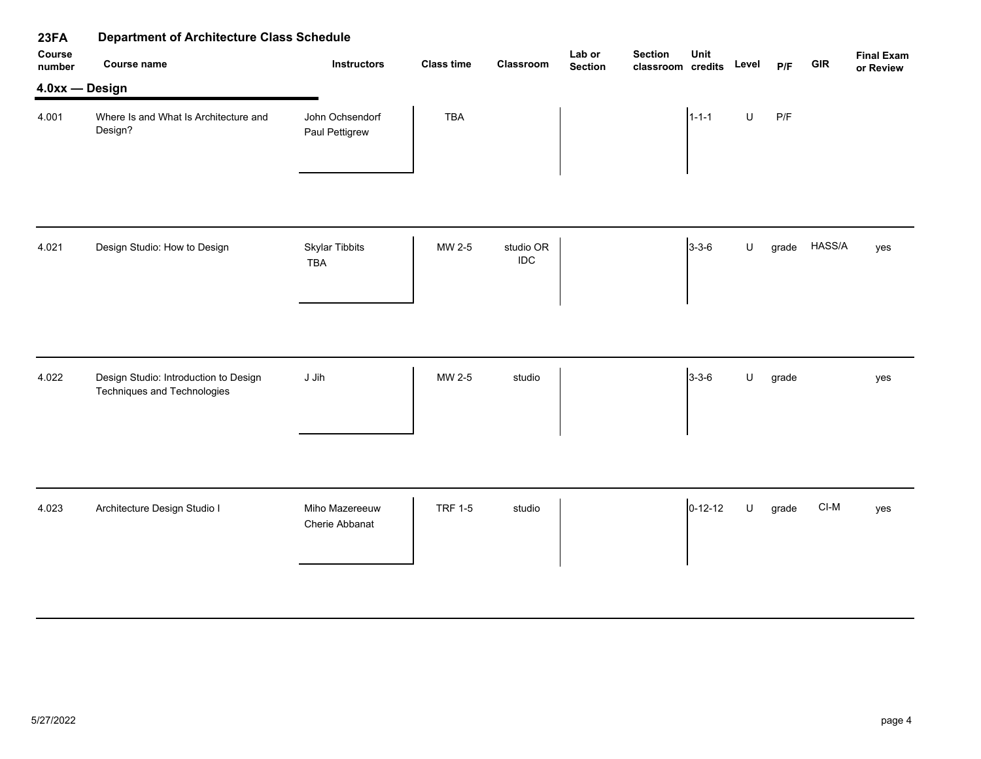| 23FA             | <b>Department of Architecture Class Schedule</b>                     |                                     |                   |                  |                          |                                     |               |         |       |            |                                |
|------------------|----------------------------------------------------------------------|-------------------------------------|-------------------|------------------|--------------------------|-------------------------------------|---------------|---------|-------|------------|--------------------------------|
| Course<br>number | Course name                                                          | <b>Instructors</b>                  | <b>Class time</b> | Classroom        | Lab or<br><b>Section</b> | <b>Section</b><br>classroom credits | Unit          | Level   | P/F   | <b>GIR</b> | <b>Final Exam</b><br>or Review |
| 4.0xx - Design   |                                                                      |                                     |                   |                  |                          |                                     |               |         |       |            |                                |
| 4.001            | Where Is and What Is Architecture and<br>Design?                     | John Ochsendorf<br>Paul Pettigrew   | TBA               |                  |                          |                                     | $1 - 1 - 1$   | $\sf U$ | P/F   |            |                                |
|                  |                                                                      |                                     |                   |                  |                          |                                     |               |         |       |            |                                |
| 4.021            | Design Studio: How to Design                                         | <b>Skylar Tibbits</b><br><b>TBA</b> | MW 2-5            | studio OR<br>IDC |                          |                                     | $3 - 3 - 6$   | U       | grade | HASS/A     | yes                            |
|                  |                                                                      |                                     |                   |                  |                          |                                     |               |         |       |            |                                |
| 4.022            | Design Studio: Introduction to Design<br>Techniques and Technologies | J Jih                               | MW 2-5            | studio           |                          |                                     | $3 - 3 - 6$   | U       | grade |            | yes                            |
|                  |                                                                      |                                     |                   |                  |                          |                                     |               |         |       |            |                                |
| 4.023            | Architecture Design Studio I                                         | Miho Mazereeuw<br>Cherie Abbanat    | <b>TRF 1-5</b>    | studio           |                          |                                     | $0 - 12 - 12$ | $\sf U$ | grade | $CI-M$     | yes                            |
|                  |                                                                      |                                     |                   |                  |                          |                                     |               |         |       |            |                                |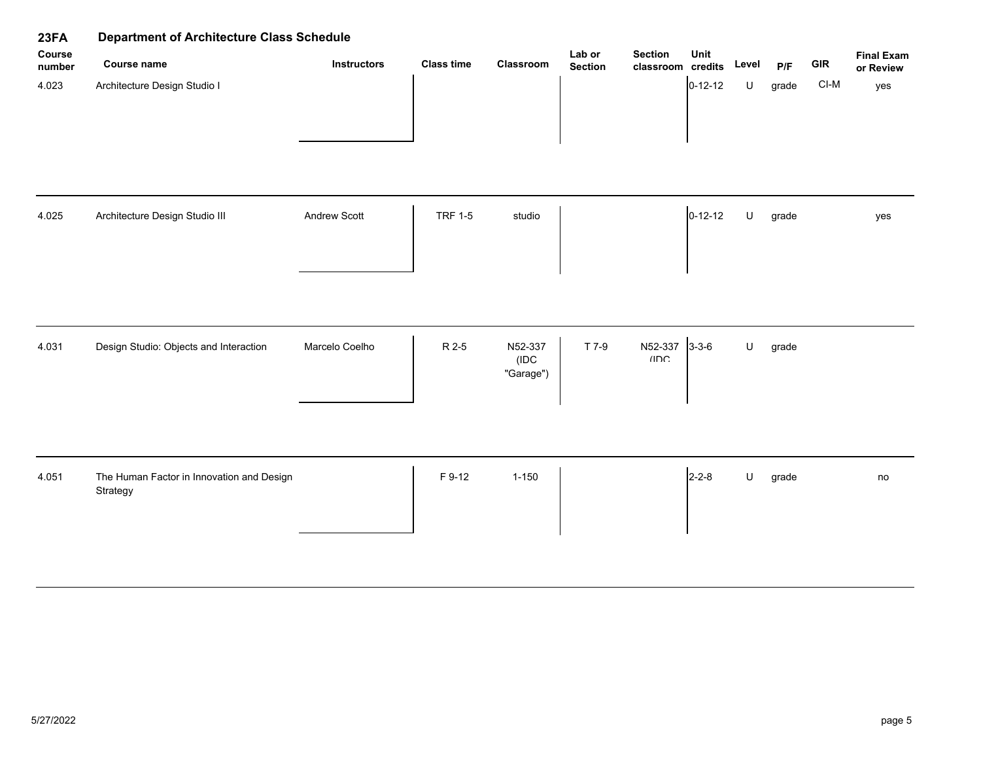| 23FA             | <b>Department of Architecture Class Schedule</b>      |                    |                   |                              |                          |                                     |               |         |       |            |                                |  |
|------------------|-------------------------------------------------------|--------------------|-------------------|------------------------------|--------------------------|-------------------------------------|---------------|---------|-------|------------|--------------------------------|--|
| Course<br>number | <b>Course name</b>                                    | <b>Instructors</b> | <b>Class time</b> | Classroom                    | Lab or<br><b>Section</b> | <b>Section</b><br>classroom credits | Unit          | Level   | P/F   | <b>GIR</b> | <b>Final Exam</b><br>or Review |  |
| 4.023            | Architecture Design Studio I                          |                    |                   |                              |                          |                                     | $0 - 12 - 12$ | $\sf U$ | grade | $CI-M$     | yes                            |  |
| 4.025            | Architecture Design Studio III                        | Andrew Scott       | <b>TRF 1-5</b>    | studio                       |                          |                                     | $0 - 12 - 12$ | $\sf U$ | grade |            | yes                            |  |
| 4.031            | Design Studio: Objects and Interaction                | Marcelo Coelho     | R 2-5             | N52-337<br>(IDC<br>"Garage") | T 7-9                    | N52-337<br>IIDC                     | $3 - 3 - 6$   | $\sf U$ | grade |            |                                |  |
| 4.051            | The Human Factor in Innovation and Design<br>Strategy |                    | F 9-12            | $1 - 150$                    |                          |                                     | $2 - 2 - 8$   | $\sf U$ | grade |            | no                             |  |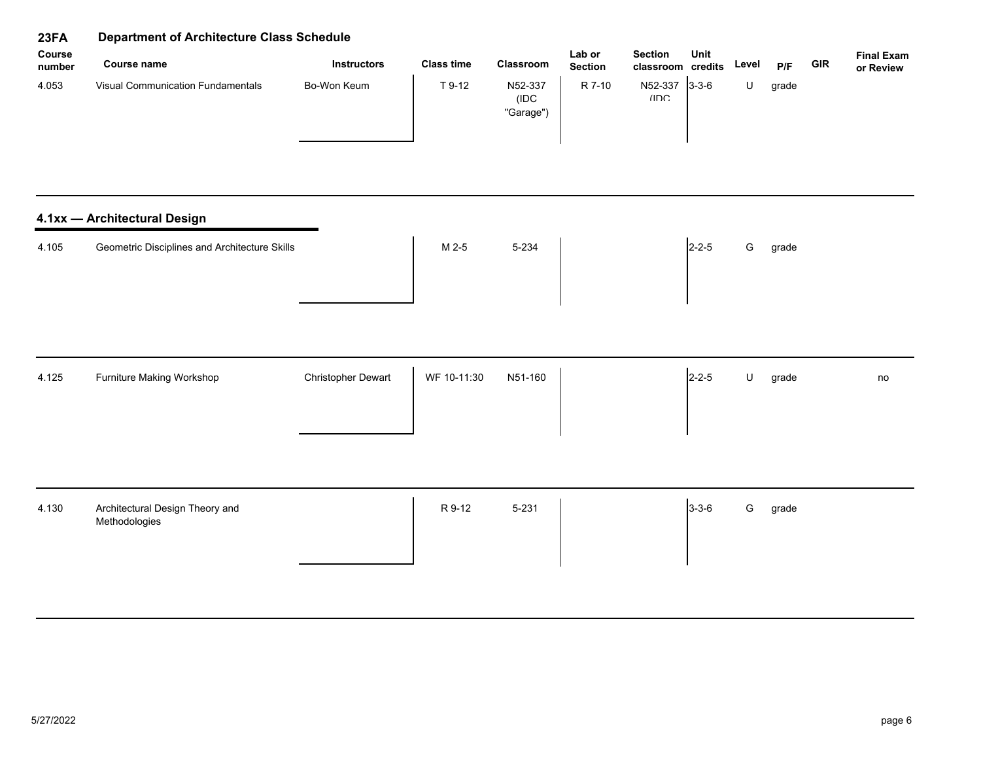| Course<br>number | Course name                       | <b>Instructors</b> | <b>Class time</b> | <b>Classroom</b>              | Lab or<br><b>Section</b> | <b>Section</b><br>classroom credits | Unit         | Level | P/F   | <b>GIR</b> | <b>Final Exam</b><br>or Review |
|------------------|-----------------------------------|--------------------|-------------------|-------------------------------|--------------------------|-------------------------------------|--------------|-------|-------|------------|--------------------------------|
| 4.053            | Visual Communication Fundamentals | Bo-Won Keum        | T 9-12            | N52-337<br>(IDC)<br>"Garage") | R 7-10                   | N52-337<br>IIDC                     | $13 - 3 - 6$ |       | grade |            |                                |

# **4.1xx — Architectural Design**

| 4.105 | Geometric Disciplines and Architecture Skills | M 2-5 | 5-234 | $12 - 2 - 5$ | G | grade |
|-------|-----------------------------------------------|-------|-------|--------------|---|-------|
|       |                                               |       |       |              |   |       |
|       |                                               |       |       |              |   |       |

| 4.125<br>Furniture Making Workshop | <b>Christopher Dewart</b> | WF 10-11:30<br>N51-160 | $2 - 2 - 5$ | grade | no |
|------------------------------------|---------------------------|------------------------|-------------|-------|----|
|                                    |                           |                        |             |       |    |

| 4.130 | Architectural Design Theory and<br>Methodologies | R 9-12 | 5-231 | $3 - 3 - 6$ | grade<br>G |  |
|-------|--------------------------------------------------|--------|-------|-------------|------------|--|
|       |                                                  |        |       |             |            |  |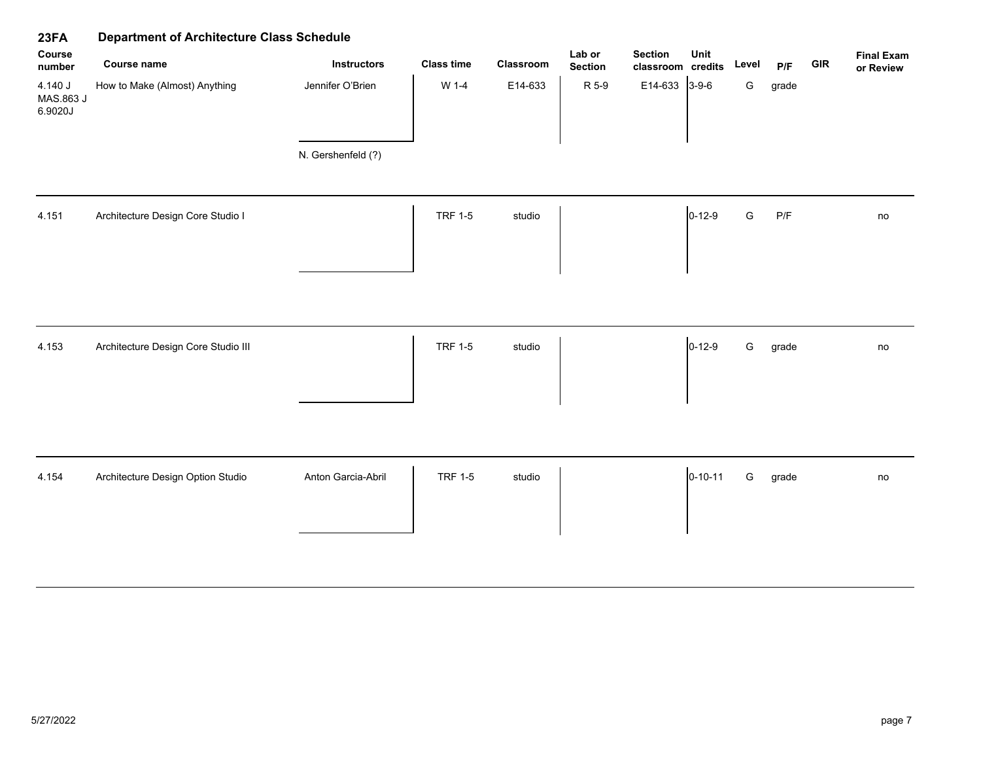| 23FA                            | <b>Department of Architecture Class Schedule</b><br>Lab or<br><b>Section</b><br>Unit |                    |                   |           |                |                   |               |               |       |            |                                |
|---------------------------------|--------------------------------------------------------------------------------------|--------------------|-------------------|-----------|----------------|-------------------|---------------|---------------|-------|------------|--------------------------------|
| Course<br>number                | Course name                                                                          | <b>Instructors</b> | <b>Class time</b> | Classroom | <b>Section</b> | classroom credits |               | Level         | P/F   | <b>GIR</b> | <b>Final Exam</b><br>or Review |
| 4.140 J<br>MAS.863 J<br>6.9020J | How to Make (Almost) Anything                                                        | Jennifer O'Brien   | W 1-4             | E14-633   | R 5-9          | E14-633           | $3-9-6$       | G             | grade |            |                                |
|                                 |                                                                                      | N. Gershenfeld (?) |                   |           |                |                   |               |               |       |            |                                |
| 4.151                           | Architecture Design Core Studio I                                                    |                    | <b>TRF 1-5</b>    | studio    |                |                   | $0 - 12 - 9$  | ${\mathsf G}$ | P/F   |            | no                             |
|                                 |                                                                                      |                    |                   |           |                |                   |               |               |       |            |                                |
| 4.153                           | Architecture Design Core Studio III                                                  |                    | <b>TRF 1-5</b>    | studio    |                |                   | $0 - 12 - 9$  | G             | grade |            | no                             |
| 4.154                           | Architecture Design Option Studio                                                    | Anton Garcia-Abril | <b>TRF 1-5</b>    | studio    |                |                   | $0 - 10 - 11$ | ${\mathsf G}$ | grade |            | no                             |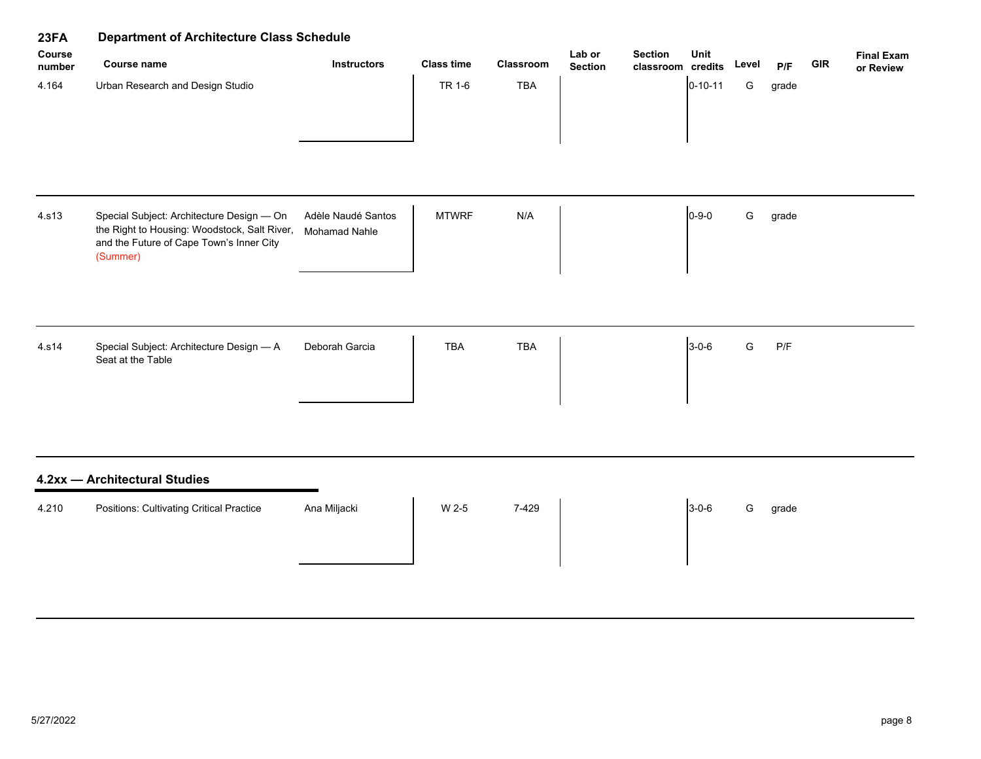| <b>Department of Architecture Class Schedule</b><br>23FA<br>Course                                                                                |                                     |                   |            |                          |                |               |                   |                         |     |                                |
|---------------------------------------------------------------------------------------------------------------------------------------------------|-------------------------------------|-------------------|------------|--------------------------|----------------|---------------|-------------------|-------------------------|-----|--------------------------------|
| Course name                                                                                                                                       | <b>Instructors</b>                  | <b>Class time</b> | Classroom  | Lab or<br><b>Section</b> | <b>Section</b> | Unit          | Level             | P/F                     | GIR | <b>Final Exam</b><br>or Review |
| Urban Research and Design Studio                                                                                                                  |                                     | TR 1-6            | <b>TBA</b> |                          |                | $0 - 10 - 11$ | G                 | grade                   |     |                                |
| Special Subject: Architecture Design - On<br>the Right to Housing: Woodstock, Salt River,<br>and the Future of Cape Town's Inner City<br>(Summer) | Adèle Naudé Santos<br>Mohamad Nahle | <b>MTWRF</b>      | N/A        |                          |                | $0 - 9 - 0$   | ${\mathsf G}$     | grade                   |     |                                |
| Special Subject: Architecture Design - A<br>Seat at the Table                                                                                     | Deborah Garcia                      | <b>TBA</b>        | <b>TBA</b> |                          |                | $3 - 0 - 6$   | ${\mathsf G}$     | $\mathsf{P}/\mathsf{F}$ |     |                                |
| 4.2xx - Architectural Studies                                                                                                                     |                                     |                   |            |                          |                |               |                   |                         |     |                                |
| <b>Positions: Cultivating Critical Practice</b>                                                                                                   | Ana Miljacki                        | W 2-5             | 7-429      |                          |                | $3 - 0 - 6$   | G                 | grade                   |     |                                |
|                                                                                                                                                   |                                     |                   |            |                          |                |               | classroom credits |                         |     |                                |

# 5/27/2022 page 8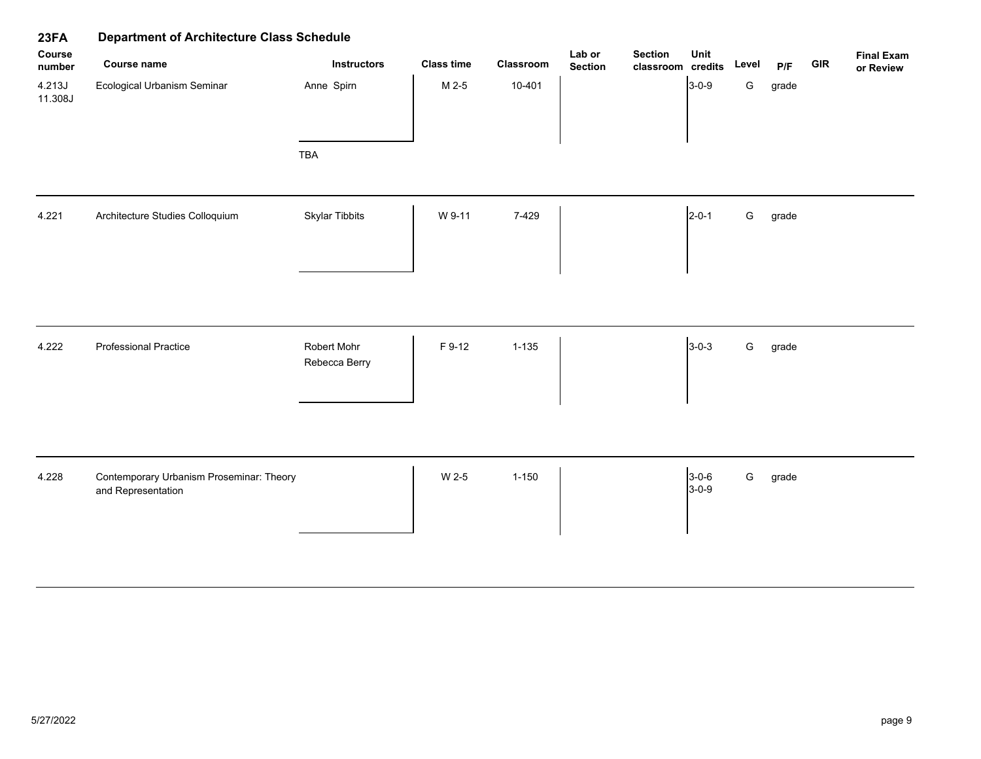| 23FA              | <b>Department of Architecture Class Schedule</b>               |                              |                   |           |                          |                                     |                        |               |       |            |                                |
|-------------------|----------------------------------------------------------------|------------------------------|-------------------|-----------|--------------------------|-------------------------------------|------------------------|---------------|-------|------------|--------------------------------|
| Course<br>number  | Course name                                                    | <b>Instructors</b>           | <b>Class time</b> | Classroom | Lab or<br><b>Section</b> | <b>Section</b><br>classroom credits | Unit                   | Level         | P/F   | <b>GIR</b> | <b>Final Exam</b><br>or Review |
| 4.213J<br>11.308J | <b>Ecological Urbanism Seminar</b>                             | Anne Spirn                   | M 2-5             | 10-401    |                          |                                     | $3 - 0 - 9$            | G             | grade |            |                                |
|                   |                                                                | <b>TBA</b>                   |                   |           |                          |                                     |                        |               |       |            |                                |
| 4.221             | Architecture Studies Colloquium                                | <b>Skylar Tibbits</b>        | W 9-11            | 7-429     |                          |                                     | $2 - 0 - 1$            | ${\mathsf G}$ | grade |            |                                |
|                   |                                                                |                              |                   |           |                          |                                     |                        |               |       |            |                                |
| 4.222             | <b>Professional Practice</b>                                   | Robert Mohr<br>Rebecca Berry | F 9-12            | $1 - 135$ |                          |                                     | $3 - 0 - 3$            | ${\mathsf G}$ | grade |            |                                |
|                   |                                                                |                              |                   |           |                          |                                     |                        |               |       |            |                                |
| 4.228             | Contemporary Urbanism Proseminar: Theory<br>and Representation |                              | W 2-5             | $1 - 150$ |                          |                                     | $3 - 0 - 6$<br>$3-0-9$ | ${\mathsf G}$ | grade |            |                                |
|                   |                                                                |                              |                   |           |                          |                                     |                        |               |       |            |                                |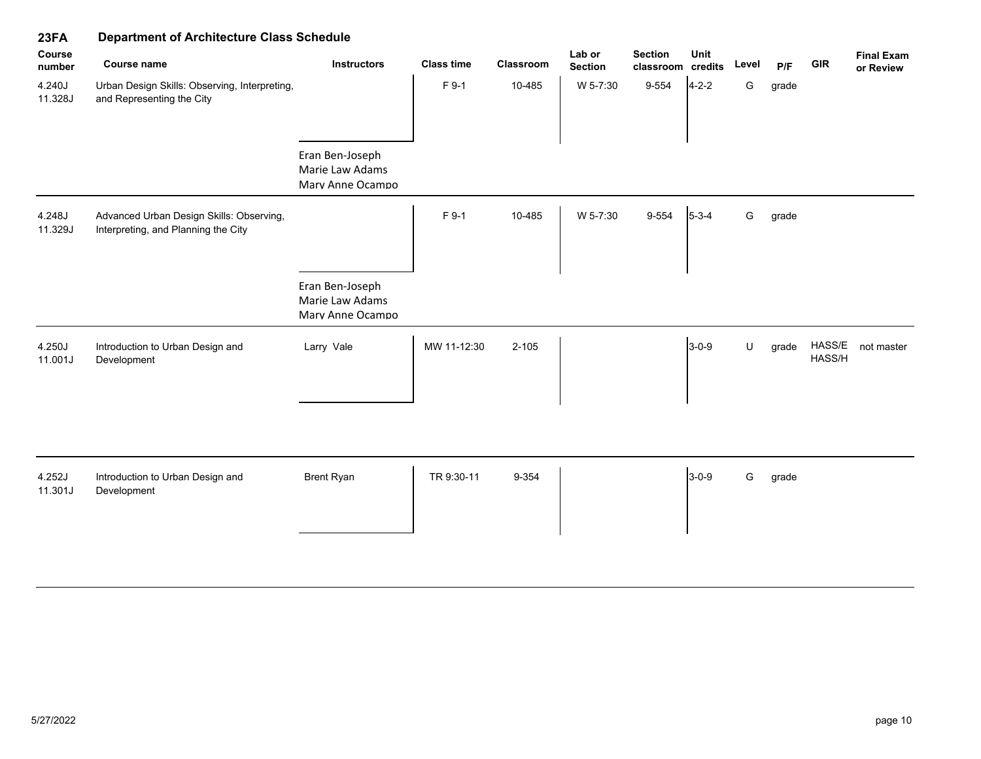| ZJFA              | Department of Architecture Class Schedule                                       |                                                        |                   |           |                          |                                     |             |         |       |                  |                                |
|-------------------|---------------------------------------------------------------------------------|--------------------------------------------------------|-------------------|-----------|--------------------------|-------------------------------------|-------------|---------|-------|------------------|--------------------------------|
| Course<br>number  | <b>Course name</b>                                                              | <b>Instructors</b>                                     | <b>Class time</b> | Classroom | Lab or<br><b>Section</b> | <b>Section</b><br>classroom credits | Unit        | Level   | P/F   | <b>GIR</b>       | <b>Final Exam</b><br>or Review |
| 4.240J<br>11.328J | Urban Design Skills: Observing, Interpreting,<br>and Representing the City      |                                                        | F 9-1             | 10-485    | W 5-7:30                 | 9-554                               | $4 - 2 - 2$ | G       | grade |                  |                                |
|                   |                                                                                 | Eran Ben-Joseph<br>Marie Law Adams<br>Marv Anne Ocampo |                   |           |                          |                                     |             |         |       |                  |                                |
| 4.248J<br>11.329J | Advanced Urban Design Skills: Observing,<br>Interpreting, and Planning the City |                                                        | F 9-1             | 10-485    | W 5-7:30                 | 9-554                               | $5 - 3 - 4$ | G       | grade |                  |                                |
|                   |                                                                                 | Eran Ben-Joseph<br>Marie Law Adams<br>Marv Anne Ocampo |                   |           |                          |                                     |             |         |       |                  |                                |
| 4.250J<br>11.001J | Introduction to Urban Design and<br>Development                                 | Larry Vale                                             | MW 11-12:30       | $2 - 105$ |                          |                                     | $3 - 0 - 9$ | $\sf U$ | grade | HASS/E<br>HASS/H | not master                     |
| 4.252J<br>11.301J | Introduction to Urban Design and<br>Development                                 | <b>Brent Ryan</b>                                      | TR 9:30-11        | 9-354     |                          |                                     | $3-0-9$     | G       | grade |                  |                                |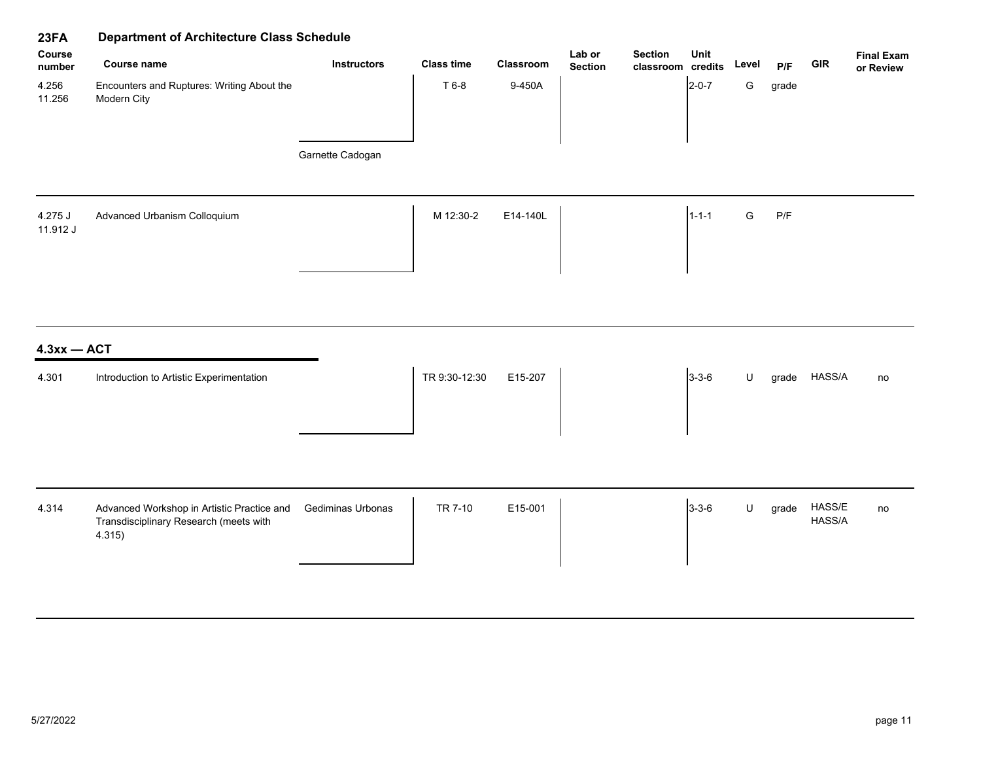| 23FA                | <b>Department of Architecture Class Schedule</b>                                               |                    |                   |           |                          |                                     |             |               |       |                  |                                |
|---------------------|------------------------------------------------------------------------------------------------|--------------------|-------------------|-----------|--------------------------|-------------------------------------|-------------|---------------|-------|------------------|--------------------------------|
| Course<br>number    | Course name                                                                                    | <b>Instructors</b> | <b>Class time</b> | Classroom | Lab or<br><b>Section</b> | <b>Section</b><br>classroom credits | Unit        | Level         | P/F   | GIR              | <b>Final Exam</b><br>or Review |
| 4.256<br>11.256     | Encounters and Ruptures: Writing About the<br>Modern City                                      |                    | T 6-8             | 9-450A    |                          |                                     | $2 - 0 - 7$ | ${\mathsf G}$ | grade |                  |                                |
|                     |                                                                                                | Garnette Cadogan   |                   |           |                          |                                     |             |               |       |                  |                                |
| 4.275 J<br>11.912 J | Advanced Urbanism Colloquium                                                                   |                    | M 12:30-2         | E14-140L  |                          |                                     | $1 - 1 - 1$ | ${\mathsf G}$ | P/F   |                  |                                |
| $4.3xx - ACT$       |                                                                                                |                    |                   |           |                          |                                     |             |               |       |                  |                                |
| 4.301               | Introduction to Artistic Experimentation                                                       |                    | TR 9:30-12:30     | E15-207   |                          |                                     | $3 - 3 - 6$ | $\sf U$       |       | grade HASS/A     | no                             |
| 4.314               | Advanced Workshop in Artistic Practice and<br>Transdisciplinary Research (meets with<br>4.315) | Gediminas Urbonas  | TR 7-10           | E15-001   |                          |                                     | $3 - 3 - 6$ | $\sf U$       | grade | HASS/E<br>HASS/A | no                             |
|                     |                                                                                                |                    |                   |           |                          |                                     |             |               |       |                  |                                |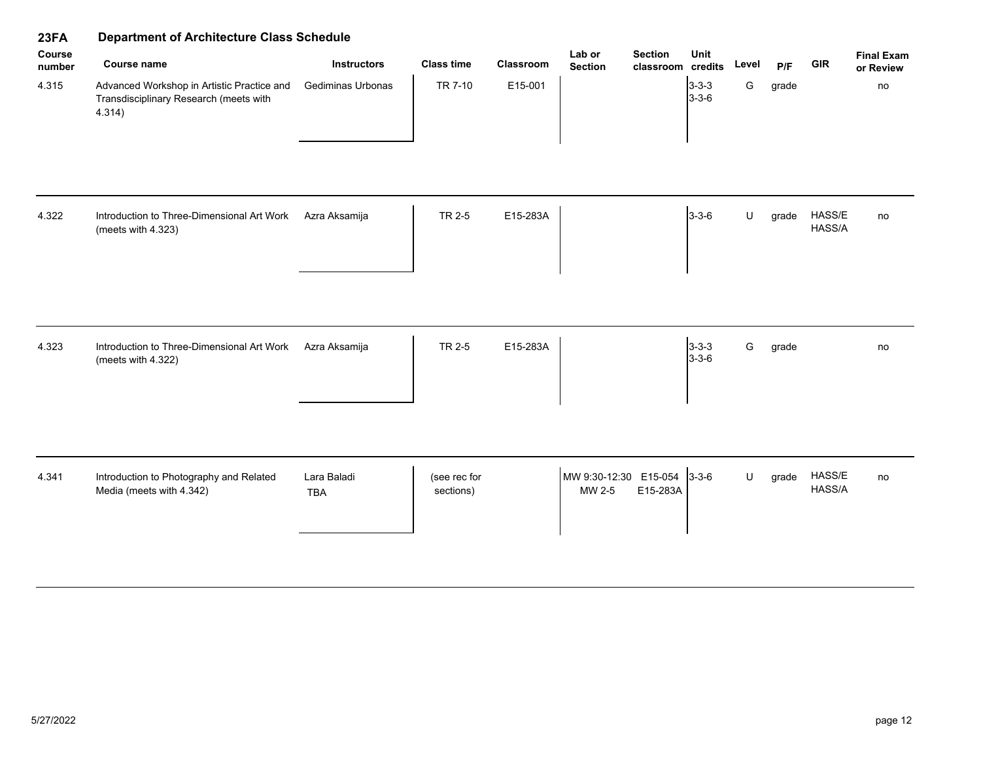| 23FA             | <b>Department of Architecture Class Schedule</b>                                               |                           |                           |           |                                             |                            |       |       |                  |                                |  |  |
|------------------|------------------------------------------------------------------------------------------------|---------------------------|---------------------------|-----------|---------------------------------------------|----------------------------|-------|-------|------------------|--------------------------------|--|--|
| Course<br>number | <b>Course name</b>                                                                             | <b>Instructors</b>        | <b>Class time</b>         | Classroom | Lab or<br><b>Section</b><br><b>Section</b>  | Unit<br>classroom credits  | Level | P/F   | <b>GIR</b>       | <b>Final Exam</b><br>or Review |  |  |
| 4.315<br>4.322   | Advanced Workshop in Artistic Practice and<br>Transdisciplinary Research (meets with<br>4.314) | Gediminas Urbonas         | TR 7-10                   | E15-001   |                                             | $3 - 3 - 3$<br>$3 - 3 - 6$ | G     | grade |                  | no                             |  |  |
|                  | Introduction to Three-Dimensional Art Work<br>(meets with 4.323)                               | Azra Aksamija             | TR 2-5                    | E15-283A  |                                             | $3 - 3 - 6$                | U     | grade | HASS/E<br>HASS/A | no                             |  |  |
| 4.323            | Introduction to Three-Dimensional Art Work<br>(meets with 4.322)                               | Azra Aksamija             | TR 2-5                    | E15-283A  |                                             | $3 - 3 - 3$<br>$3 - 3 - 6$ | G     | grade |                  | no                             |  |  |
| 4.341            | Introduction to Photography and Related<br>Media (meets with 4.342)                            | Lara Baladi<br><b>TBA</b> | (see rec for<br>sections) |           | MW 9:30-12:30 E15-054<br>E15-283A<br>MW 2-5 | $3 - 3 - 6$                | U     | grade | HASS/E<br>HASS/A | no                             |  |  |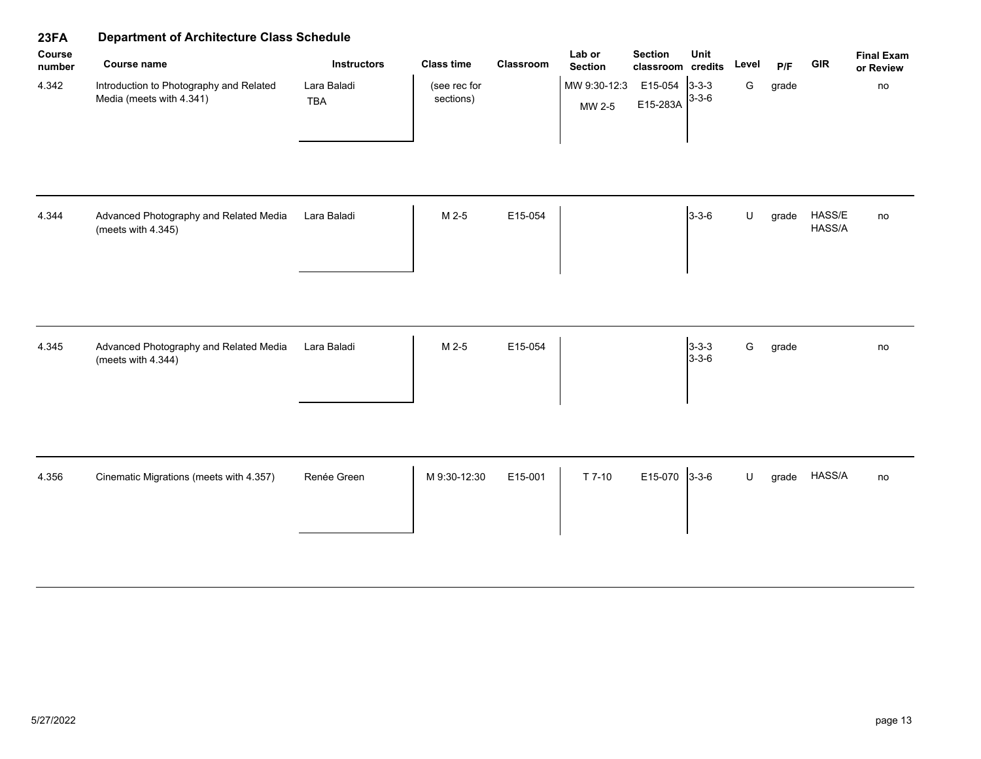| 23FA             | <b>Department of Architecture Class Schedule</b>                    |                           |                           |           |                          |                                     |                            |         |       |                  |                                |  |
|------------------|---------------------------------------------------------------------|---------------------------|---------------------------|-----------|--------------------------|-------------------------------------|----------------------------|---------|-------|------------------|--------------------------------|--|
| Course<br>number | <b>Course name</b>                                                  | <b>Instructors</b>        | <b>Class time</b>         | Classroom | Lab or<br><b>Section</b> | <b>Section</b><br>classroom credits | Unit                       | Level   | P/F   | <b>GIR</b>       | <b>Final Exam</b><br>or Review |  |
| 4.342            | Introduction to Photography and Related<br>Media (meets with 4.341) | Lara Baladi<br><b>TBA</b> | (see rec for<br>sections) |           | MW 9:30-12:3<br>MW 2-5   | E15-054 3-3-3<br>E15-283A           | $3 - 3 - 6$                | G       | grade |                  | no                             |  |
| 4.344            | Advanced Photography and Related Media<br>(meets with 4.345)        | Lara Baladi               | M 2-5                     | E15-054   |                          |                                     | $3 - 3 - 6$                | $\sf U$ | grade | HASS/E<br>HASS/A | no                             |  |
| 4.345            | Advanced Photography and Related Media<br>(meets with 4.344)        | Lara Baladi               | M 2-5                     | E15-054   |                          |                                     | $3 - 3 - 3$<br>$3 - 3 - 6$ | G       | grade |                  | no                             |  |
| 4.356            | Cinematic Migrations (meets with 4.357)                             | Renée Green               | M 9:30-12:30              | E15-001   | T 7-10                   | E15-070                             | $3 - 3 - 6$                | U       | grade | HASS/A           | no                             |  |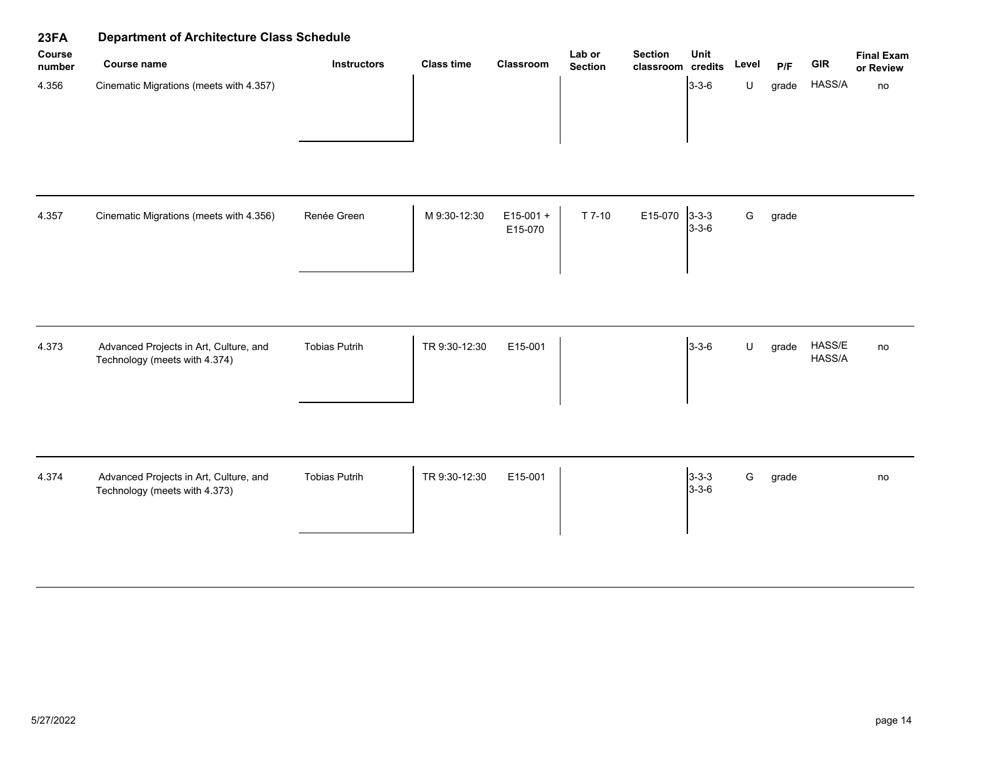| 23FA             | <b>Department of Architecture Class Schedule</b>                        |                      |                   |                        |                          |                                     |                            |       |       |                  |                                |  |
|------------------|-------------------------------------------------------------------------|----------------------|-------------------|------------------------|--------------------------|-------------------------------------|----------------------------|-------|-------|------------------|--------------------------------|--|
| Course<br>number | <b>Course name</b>                                                      | <b>Instructors</b>   | <b>Class time</b> | Classroom              | Lab or<br><b>Section</b> | <b>Section</b><br>classroom credits | Unit                       | Level | P/F   | <b>GIR</b>       | <b>Final Exam</b><br>or Review |  |
| 4.356            | Cinematic Migrations (meets with 4.357)                                 |                      |                   |                        |                          |                                     | $3 - 3 - 6$                | U     | grade | HASS/A           | no                             |  |
| 4.357            | Cinematic Migrations (meets with 4.356)                                 | Renée Green          | M 9:30-12:30      | $E15-001 +$<br>E15-070 | $T$ 7-10                 | E15-070                             | $3 - 3 - 3$<br>$3 - 3 - 6$ | G     | grade |                  |                                |  |
| 4.373            | Advanced Projects in Art, Culture, and<br>Technology (meets with 4.374) | <b>Tobias Putrih</b> | TR 9:30-12:30     | E15-001                |                          |                                     | $3 - 3 - 6$                | U     | grade | HASS/E<br>HASS/A | no                             |  |
| 4.374            | Advanced Projects in Art, Culture, and<br>Technology (meets with 4.373) | <b>Tobias Putrih</b> | TR 9:30-12:30     | E15-001                |                          |                                     | $3 - 3 - 3$<br>$3 - 3 - 6$ | G     | grade |                  | no                             |  |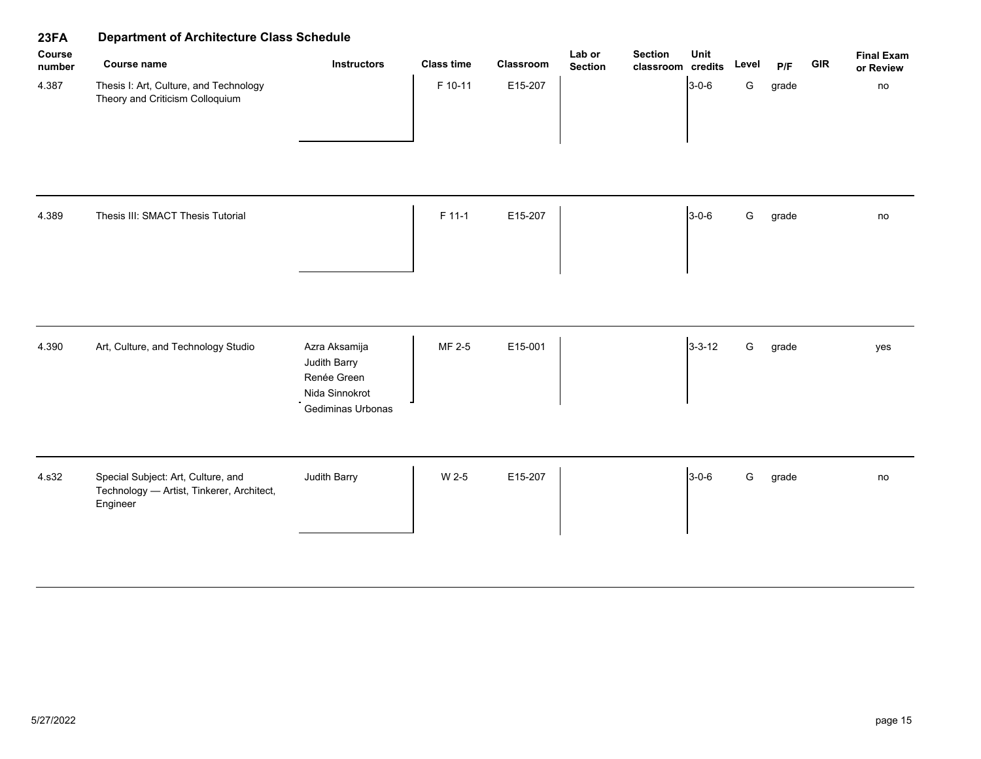| 23FA             | <b>Department of Architecture Class Schedule</b>                                            |                                                                                     |                   |           |                          |                                     |              |               |       |            |                                |  |
|------------------|---------------------------------------------------------------------------------------------|-------------------------------------------------------------------------------------|-------------------|-----------|--------------------------|-------------------------------------|--------------|---------------|-------|------------|--------------------------------|--|
| Course<br>number | <b>Course name</b>                                                                          | <b>Instructors</b>                                                                  | <b>Class time</b> | Classroom | Lab or<br><b>Section</b> | <b>Section</b><br>classroom credits | Unit         | Level         | P/F   | <b>GIR</b> | <b>Final Exam</b><br>or Review |  |
| 4.387<br>4.389   | Thesis I: Art, Culture, and Technology<br>Theory and Criticism Colloquium                   |                                                                                     | F 10-11           | E15-207   |                          |                                     | $3 - 0 - 6$  | ${\mathsf G}$ | grade |            | no                             |  |
|                  | Thesis III: SMACT Thesis Tutorial                                                           |                                                                                     | F 11-1            | E15-207   |                          |                                     | $3 - 0 - 6$  | G             | grade |            | no                             |  |
| 4.390            | Art, Culture, and Technology Studio                                                         | Azra Aksamija<br>Judith Barry<br>Renée Green<br>Nida Sinnokrot<br>Gediminas Urbonas | MF 2-5            | E15-001   |                          |                                     | $3 - 3 - 12$ | G             | grade |            | yes                            |  |
| 4.s32            | Special Subject: Art, Culture, and<br>Technology - Artist, Tinkerer, Architect,<br>Engineer | Judith Barry                                                                        | W 2-5             | E15-207   |                          |                                     | $3 - 0 - 6$  | G             | grade |            | no                             |  |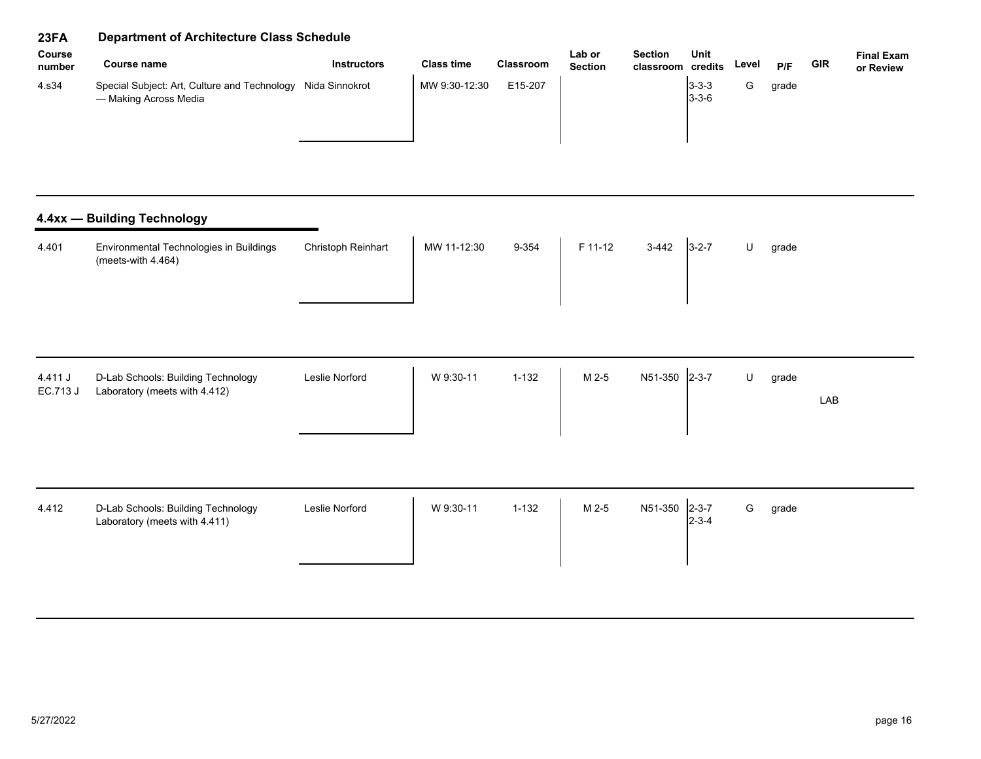| <b>Course</b><br>number | Course name                                                                          | <b>Instructors</b> | <b>Class time</b> | <b>Classroom</b> | Lab or<br><b>Section</b> | <b>Section</b><br>classroom credits | Unit                       | Level | P/F   | GIR | <b>Final Exam</b><br>or Review |
|-------------------------|--------------------------------------------------------------------------------------|--------------------|-------------------|------------------|--------------------------|-------------------------------------|----------------------------|-------|-------|-----|--------------------------------|
| 4.s34                   | Special Subject: Art, Culture and Technology Nida Sinnokrot<br>— Making Across Media |                    | MW 9:30-12:30     | E15-207          |                          |                                     | $3 - 3 - 3$<br>$3 - 3 - 6$ |       | grade |     |                                |

| <b>Christoph Reinhart</b><br>4.401<br>Environmental Technologies in Buildings<br>(meets-with $4.464$ ) | 9-354<br>MW 11-12:30 | F 11-12<br>$3-442$ | $3 - 2 - 7$ |  | grade |
|--------------------------------------------------------------------------------------------------------|----------------------|--------------------|-------------|--|-------|
|--------------------------------------------------------------------------------------------------------|----------------------|--------------------|-------------|--|-------|

| 4.411 J<br>EC.713 J | D-Lab Schools: Building Technology | Leslie Norford | W 9:30-11 | $1 - 132$ | $M2-5$ | N51-350 2-3-7 |  | grade |     |
|---------------------|------------------------------------|----------------|-----------|-----------|--------|---------------|--|-------|-----|
|                     | Laboratory (meets with 4.412)      |                |           |           |        |               |  |       | LAB |
|                     |                                    |                |           |           |        |               |  |       |     |

| 4.412 | D-Lab Schools: Building Technology<br>Laboratory (meets with 4.411) | Leslie Norford | W 9:30-11 | $1 - 132$ | M 2-5 | N51-350 2-3-7 | l2-3-4 | G | grade |  |
|-------|---------------------------------------------------------------------|----------------|-----------|-----------|-------|---------------|--------|---|-------|--|
|-------|---------------------------------------------------------------------|----------------|-----------|-----------|-------|---------------|--------|---|-------|--|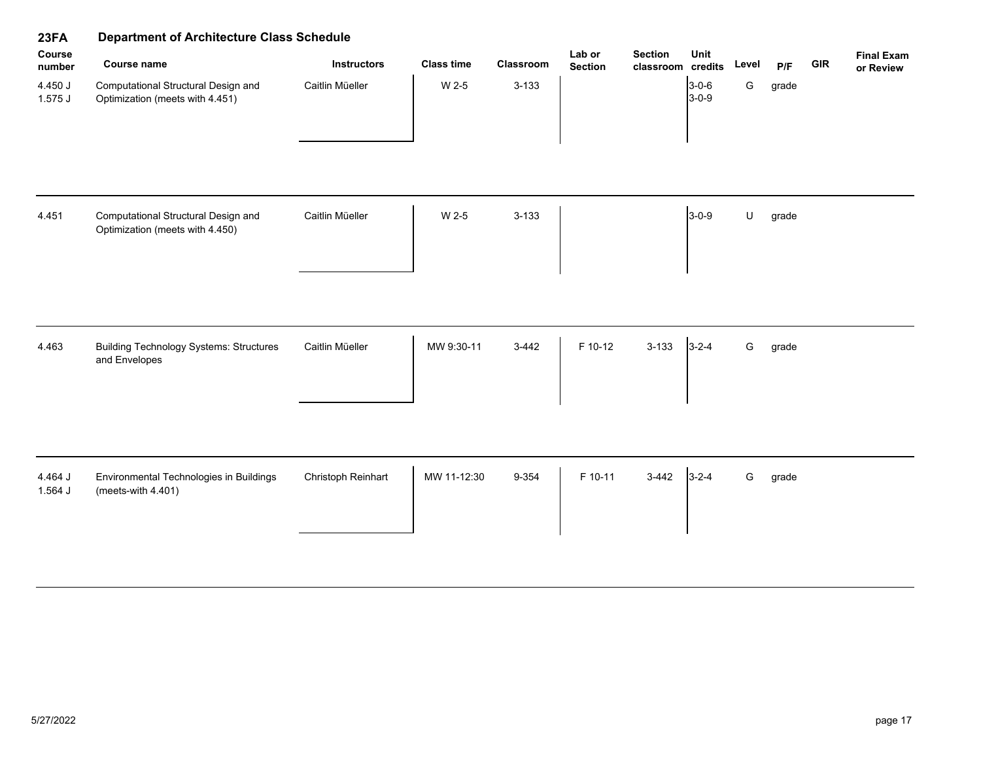| 23FA               | Department of Architecture Class Schedule                              |                    |                   |           |                          |                                     |                            |       |       |            |                                |  |
|--------------------|------------------------------------------------------------------------|--------------------|-------------------|-----------|--------------------------|-------------------------------------|----------------------------|-------|-------|------------|--------------------------------|--|
| Course<br>number   | <b>Course name</b>                                                     | <b>Instructors</b> | <b>Class time</b> | Classroom | Lab or<br><b>Section</b> | <b>Section</b><br>classroom credits | Unit                       | Level | P/F   | <b>GIR</b> | <b>Final Exam</b><br>or Review |  |
| 4.450 J<br>1.575J  | Computational Structural Design and<br>Optimization (meets with 4.451) | Caitlin Müeller    | W 2-5             | $3 - 133$ |                          |                                     | $3 - 0 - 6$<br>$3 - 0 - 9$ | G     | grade |            |                                |  |
| 4.451              | Computational Structural Design and<br>Optimization (meets with 4.450) | Caitlin Müeller    | W 2-5             | $3 - 133$ |                          |                                     | $3 - 0 - 9$                | U     | grade |            |                                |  |
| 4.463              | <b>Building Technology Systems: Structures</b><br>and Envelopes        | Caitlin Müeller    | MW 9:30-11        | $3-442$   | F 10-12                  | $3 - 133$                           | $3 - 2 - 4$                | G     | grade |            |                                |  |
| 4.464 J<br>1.564 J | Environmental Technologies in Buildings<br>(meets-with 4.401)          | Christoph Reinhart | MW 11-12:30       | 9-354     | F 10-11                  | $3-442$                             | $3 - 2 - 4$                | G     | grade |            |                                |  |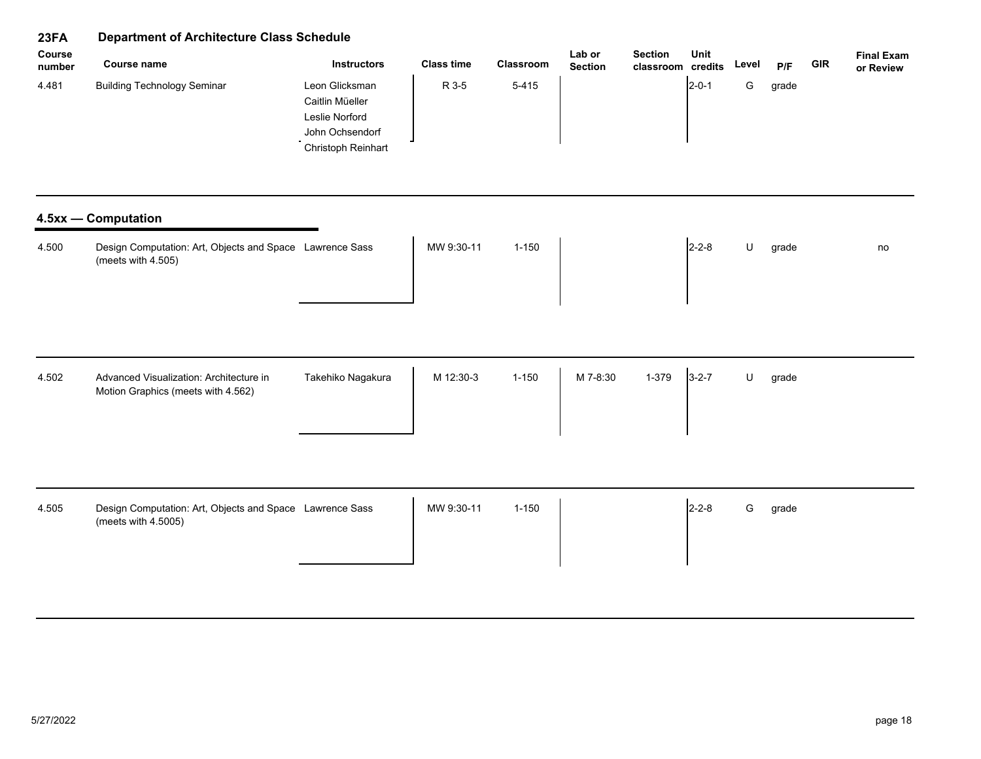| Course<br>number | <b>Course name</b>                                                              | <b>Instructors</b>                                                                           | <b>Class time</b> | Classroom | Lab or<br><b>Section</b> | <b>Section</b><br>classroom credits | Unit        | Level | P/F   | <b>GIR</b> | <b>Final Exam</b><br>or Review |
|------------------|---------------------------------------------------------------------------------|----------------------------------------------------------------------------------------------|-------------------|-----------|--------------------------|-------------------------------------|-------------|-------|-------|------------|--------------------------------|
| 4.481            | <b>Building Technology Seminar</b>                                              | Leon Glicksman<br>Caitlin Müeller<br>Leslie Norford<br>John Ochsendorf<br>Christoph Reinhart | R 3-5             | $5 - 415$ |                          |                                     | $2 - 0 - 1$ | G     | grade |            |                                |
|                  | 4.5xx - Computation                                                             |                                                                                              |                   |           |                          |                                     |             |       |       |            |                                |
| 4.500            | Design Computation: Art, Objects and Space Lawrence Sass<br>(meets with 4.505)  |                                                                                              | MW 9:30-11        | $1 - 150$ |                          |                                     | $2 - 2 - 8$ | U     | grade |            | no                             |
| 4.502            | Advanced Visualization: Architecture in<br>Motion Graphics (meets with 4.562)   | Takehiko Nagakura                                                                            | M 12:30-3         | $1 - 150$ | M 7-8:30                 | 1-379                               | $3 - 2 - 7$ | U     | grade |            |                                |
| 4.505            | Design Computation: Art, Objects and Space Lawrence Sass<br>(meets with 4.5005) |                                                                                              | MW 9:30-11        | $1 - 150$ |                          |                                     | $2 - 2 - 8$ | G     | grade |            |                                |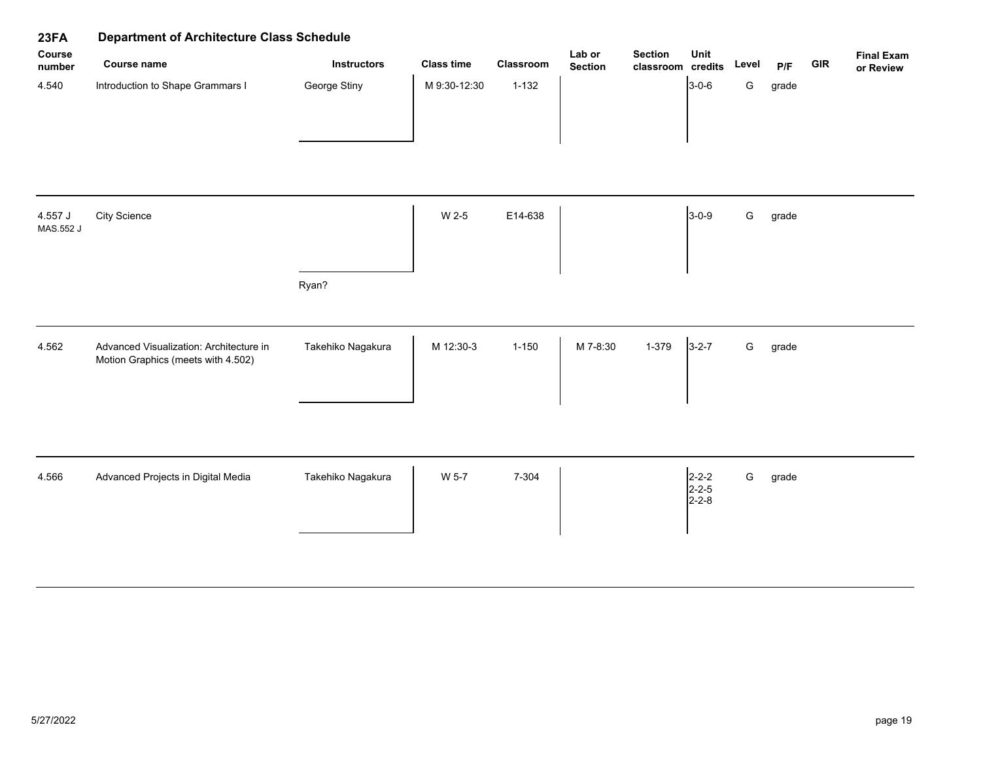| 23FA                 | <b>Department of Architecture Class Schedule</b>                              |                    |                   |           |                          |                                     |                                                                       |               |       |            |                                |
|----------------------|-------------------------------------------------------------------------------|--------------------|-------------------|-----------|--------------------------|-------------------------------------|-----------------------------------------------------------------------|---------------|-------|------------|--------------------------------|
| Course<br>number     | Course name                                                                   | <b>Instructors</b> | <b>Class time</b> | Classroom | Lab or<br><b>Section</b> | <b>Section</b><br>classroom credits | Unit                                                                  | Level         | P/F   | <b>GIR</b> | <b>Final Exam</b><br>or Review |
| 4.540                | Introduction to Shape Grammars I                                              | George Stiny       | M 9:30-12:30      | $1 - 132$ |                          |                                     | $3 - 0 - 6$                                                           | G             | grade |            |                                |
| 4.557 J<br>MAS.552 J | <b>City Science</b>                                                           |                    | W 2-5             | E14-638   |                          |                                     | $3 - 0 - 9$                                                           | ${\mathsf G}$ | grade |            |                                |
|                      |                                                                               | Ryan?              |                   |           |                          |                                     |                                                                       |               |       |            |                                |
| 4.562                | Advanced Visualization: Architecture in<br>Motion Graphics (meets with 4.502) | Takehiko Nagakura  | M 12:30-3         | $1 - 150$ | M 7-8:30                 | 1-379                               | $3 - 2 - 7$                                                           | ${\mathsf G}$ | grade |            |                                |
| 4.566                | Advanced Projects in Digital Media                                            | Takehiko Nagakura  | W 5-7             | 7-304     |                          |                                     | $\begin{vmatrix} 2 - 2 - 2 \\ 2 - 2 - 5 \end{vmatrix}$<br>$2 - 2 - 8$ | ${\mathsf G}$ | grade |            |                                |
|                      |                                                                               |                    |                   |           |                          |                                     |                                                                       |               |       |            |                                |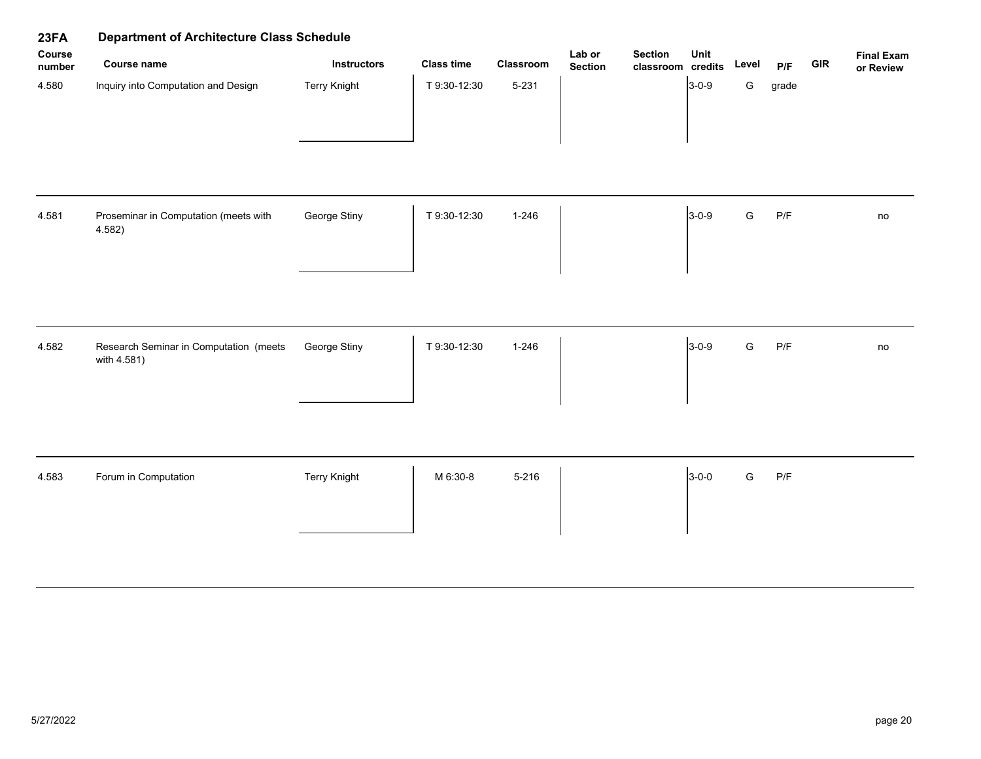| 23FA             | <b>Department of Architecture Class Schedule</b>      |                     |                   |           |                          |                                     |             |               |       |            |                                |
|------------------|-------------------------------------------------------|---------------------|-------------------|-----------|--------------------------|-------------------------------------|-------------|---------------|-------|------------|--------------------------------|
| Course<br>number | Course name                                           | <b>Instructors</b>  | <b>Class time</b> | Classroom | Lab or<br><b>Section</b> | <b>Section</b><br>classroom credits | Unit        | Level         | P/F   | <b>GIR</b> | <b>Final Exam</b><br>or Review |
| 4.580            | Inquiry into Computation and Design                   | <b>Terry Knight</b> | T 9:30-12:30      | $5 - 231$ |                          |                                     | $3-0-9$     | G             | grade |            |                                |
| 4.581            | Proseminar in Computation (meets with<br>4.582)       | George Stiny        | T 9:30-12:30      | $1 - 246$ |                          |                                     | $3 - 0 - 9$ | ${\mathsf G}$ | P/F   |            | no                             |
| 4.582            | Research Seminar in Computation (meets<br>with 4.581) | George Stiny        | T 9:30-12:30      | $1 - 246$ |                          |                                     | $3-0-9$     | ${\mathsf G}$ | P/F   |            | no                             |
| 4.583            | Forum in Computation                                  | <b>Terry Knight</b> | M 6:30-8          | $5 - 216$ |                          |                                     | $3-0-0$     | ${\mathsf G}$ | P/F   |            |                                |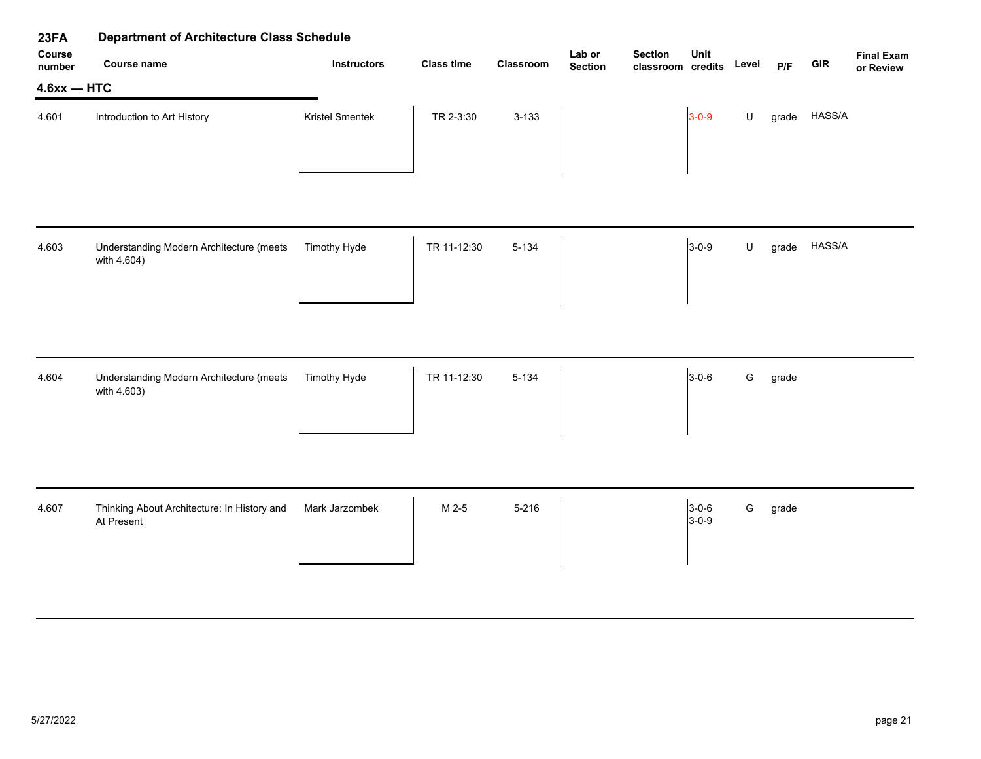| 23FA             | <b>Department of Architecture Class Schedule</b>          |                    |                   |           |                          |                                     |                            |       |       |            |                                |
|------------------|-----------------------------------------------------------|--------------------|-------------------|-----------|--------------------------|-------------------------------------|----------------------------|-------|-------|------------|--------------------------------|
| Course<br>number | <b>Course name</b>                                        | <b>Instructors</b> | <b>Class time</b> | Classroom | Lab or<br><b>Section</b> | <b>Section</b><br>classroom credits | Unit                       | Level | P/F   | <b>GIR</b> | <b>Final Exam</b><br>or Review |
| $4.6xx - HTC$    |                                                           |                    |                   |           |                          |                                     |                            |       |       |            |                                |
| 4.601            | Introduction to Art History                               | Kristel Smentek    | TR 2-3:30         | $3 - 133$ |                          |                                     | $3 - 0 - 9$                | U     | grade | HASS/A     |                                |
|                  |                                                           |                    |                   |           |                          |                                     |                            |       |       |            |                                |
| 4.603            | Understanding Modern Architecture (meets<br>with 4.604)   | Timothy Hyde       | TR 11-12:30       | $5 - 134$ |                          |                                     | $3 - 0 - 9$                | U     | grade | HASS/A     |                                |
|                  |                                                           |                    |                   |           |                          |                                     |                            |       |       |            |                                |
| 4.604            | Understanding Modern Architecture (meets<br>with 4.603)   | Timothy Hyde       | TR 11-12:30       | $5 - 134$ |                          |                                     | $3 - 0 - 6$                | G     | grade |            |                                |
|                  |                                                           |                    |                   |           |                          |                                     |                            |       |       |            |                                |
| 4.607            | Thinking About Architecture: In History and<br>At Present | Mark Jarzombek     | M 2-5             | $5 - 216$ |                          |                                     | $3 - 0 - 6$<br>$3 - 0 - 9$ | G     | grade |            |                                |
|                  |                                                           |                    |                   |           |                          |                                     |                            |       |       |            |                                |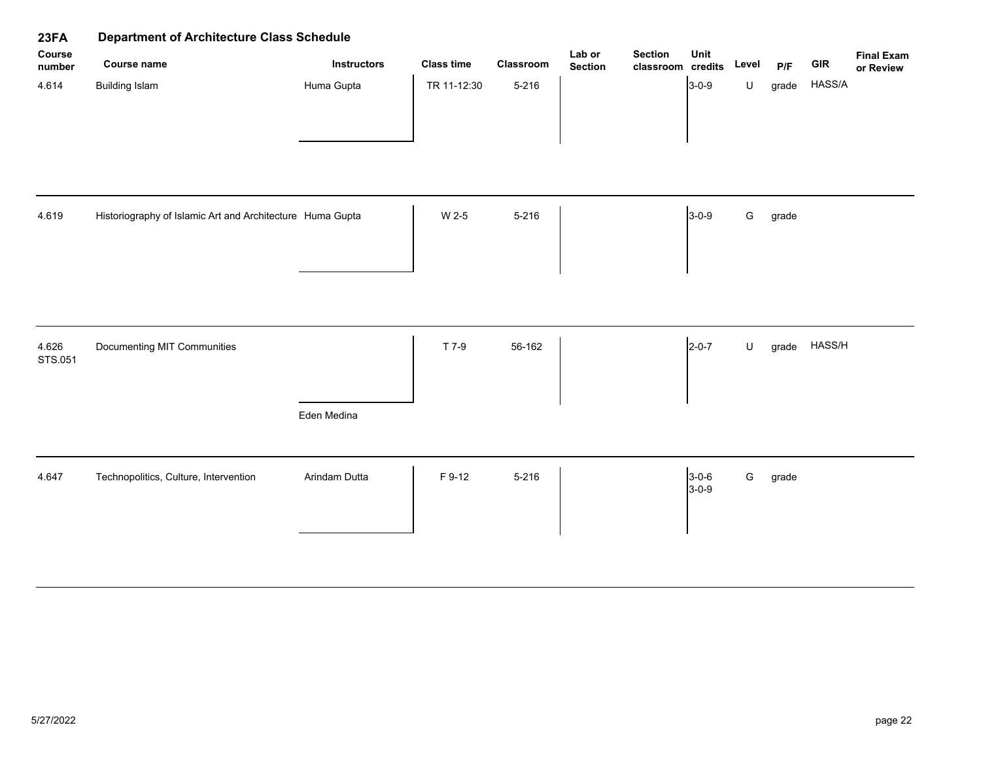| 23FA             | <b>Department of Architecture Class Schedule</b>          |                    |                   |           |                          |                                     |                        |               |       |            |                                |
|------------------|-----------------------------------------------------------|--------------------|-------------------|-----------|--------------------------|-------------------------------------|------------------------|---------------|-------|------------|--------------------------------|
| Course<br>number | <b>Course name</b>                                        | <b>Instructors</b> | <b>Class time</b> | Classroom | Lab or<br><b>Section</b> | <b>Section</b><br>classroom credits | Unit                   | Level         | P/F   | <b>GIR</b> | <b>Final Exam</b><br>or Review |
| 4.614            | <b>Building Islam</b>                                     | Huma Gupta         | TR 11-12:30       | $5 - 216$ |                          |                                     | $3-0-9$                | $\sf U$       | grade | HASS/A     |                                |
| 4.619            | Historiography of Islamic Art and Architecture Huma Gupta |                    | W 2-5             | $5 - 216$ |                          |                                     | $3-0-9$                | ${\mathsf G}$ | grade |            |                                |
| 4.626<br>STS.051 | Documenting MIT Communities                               | Eden Medina        | T 7-9             | 56-162    |                          |                                     | $2 - 0 - 7$            | $\sf U$       | grade | HASS/H     |                                |
| 4.647            | Technopolitics, Culture, Intervention                     | Arindam Dutta      | F 9-12            | 5-216     |                          |                                     | $3 - 0 - 6$<br>$3-0-9$ | ${\mathsf G}$ | grade |            |                                |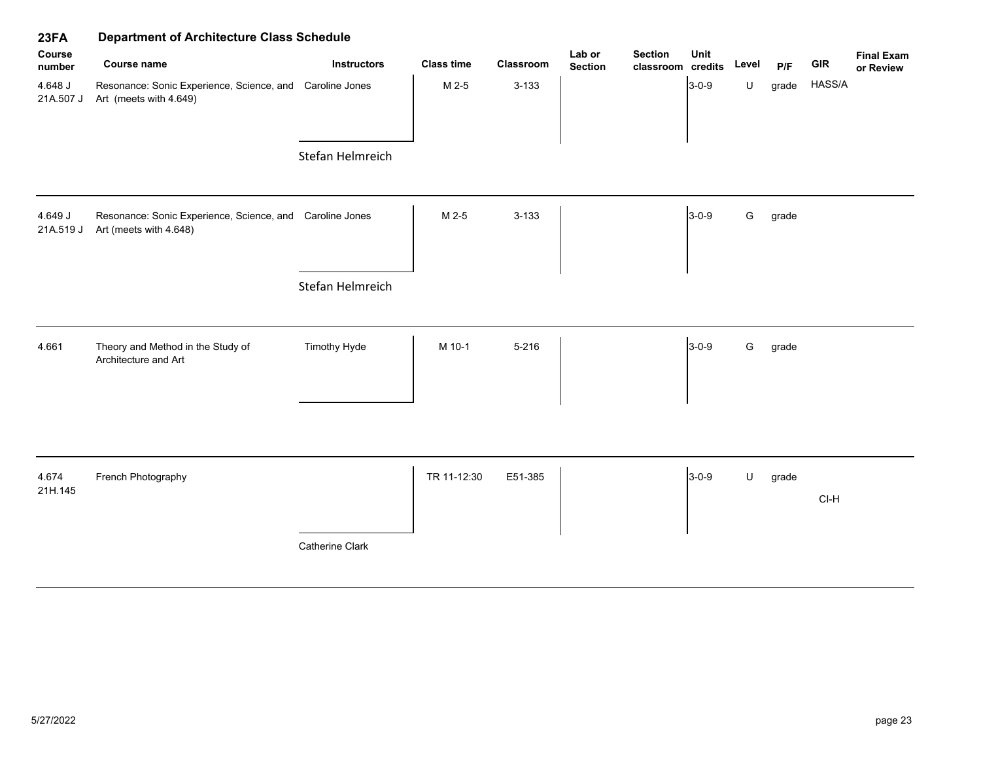| 23FA                 | <b>Department of Architecture Class Schedule</b>                                   |                    |                   |           |                          |                                     |             |         |       |            |                                |
|----------------------|------------------------------------------------------------------------------------|--------------------|-------------------|-----------|--------------------------|-------------------------------------|-------------|---------|-------|------------|--------------------------------|
| Course<br>number     | <b>Course name</b>                                                                 | <b>Instructors</b> | <b>Class time</b> | Classroom | Lab or<br><b>Section</b> | <b>Section</b><br>classroom credits | Unit        | Level   | P/F   | <b>GIR</b> | <b>Final Exam</b><br>or Review |
| 4.648 J<br>21A.507 J | Resonance: Sonic Experience, Science, and Caroline Jones<br>Art (meets with 4.649) |                    | M 2-5             | $3 - 133$ |                          |                                     | $3-0-9$     | $\sf U$ | grade | HASS/A     |                                |
|                      |                                                                                    | Stefan Helmreich   |                   |           |                          |                                     |             |         |       |            |                                |
| 4.649 J<br>21A.519 J | Resonance: Sonic Experience, Science, and Caroline Jones<br>Art (meets with 4.648) |                    | M 2-5             | $3 - 133$ |                          |                                     | $3 - 0 - 9$ | G       | grade |            |                                |
|                      |                                                                                    | Stefan Helmreich   |                   |           |                          |                                     |             |         |       |            |                                |
| 4.661                | Theory and Method in the Study of<br>Architecture and Art                          | Timothy Hyde       | M 10-1            | $5 - 216$ |                          |                                     | $3-0-9$     | G       | grade |            |                                |
|                      |                                                                                    |                    |                   |           |                          |                                     |             |         |       |            |                                |
| 4.674<br>21H.145     | French Photography                                                                 |                    | TR 11-12:30       | E51-385   |                          |                                     | $3-0-9$     | U       | grade | $CI-H$     |                                |
|                      |                                                                                    | Catherine Clark    |                   |           |                          |                                     |             |         |       |            |                                |